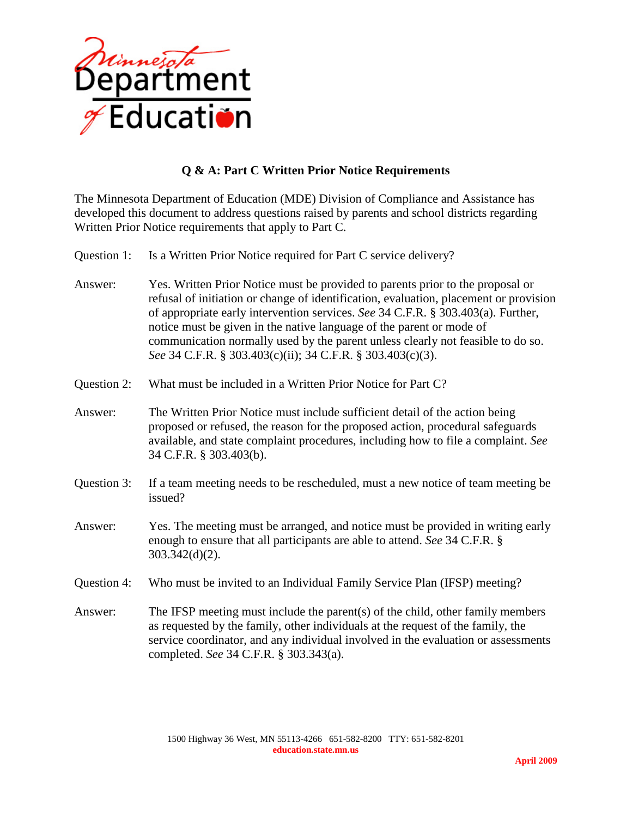

## **Q & A: Part C Written Prior Notice Requirements**

The Minnesota Department of Education (MDE) Division of Compliance and Assistance has developed this document to address questions raised by parents and school districts regarding Written Prior Notice requirements that apply to Part C.

- Question 1: Is a Written Prior Notice required for Part C service delivery?
- Answer: Yes. Written Prior Notice must be provided to parents prior to the proposal or refusal of initiation or change of identification, evaluation, placement or provision of appropriate early intervention services. *See* 34 C.F.R. § 303.403(a). Further, notice must be given in the native language of the parent or mode of communication normally used by the parent unless clearly not feasible to do so. *See* 34 C.F.R. § 303.403(c)(ii); 34 C.F.R. § 303.403(c)(3).
- Question 2: What must be included in a Written Prior Notice for Part C?
- Answer: The Written Prior Notice must include sufficient detail of the action being proposed or refused, the reason for the proposed action, procedural safeguards available, and state complaint procedures, including how to file a complaint. *See*  34 C.F.R. § 303.403(b).
- Question 3: If a team meeting needs to be rescheduled, must a new notice of team meeting be issued?
- Answer: Yes. The meeting must be arranged, and notice must be provided in writing early enough to ensure that all participants are able to attend. *See* 34 C.F.R. § 303.342(d)(2).
- Question 4: Who must be invited to an Individual Family Service Plan (IFSP) meeting?
- Answer: The IFSP meeting must include the parent(s) of the child, other family members as requested by the family, other individuals at the request of the family, the service coordinator, and any individual involved in the evaluation or assessments completed. *See* 34 C.F.R. § 303.343(a).